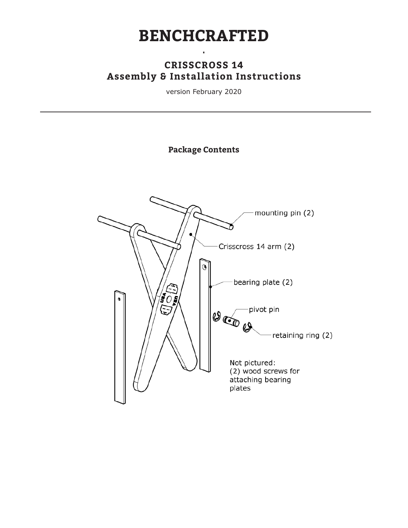## **BENCHCRAFTED**

•

#### **CRISSCROSS 14 Assembly & Installation Instructions**

version February 2020

**Package Contents**

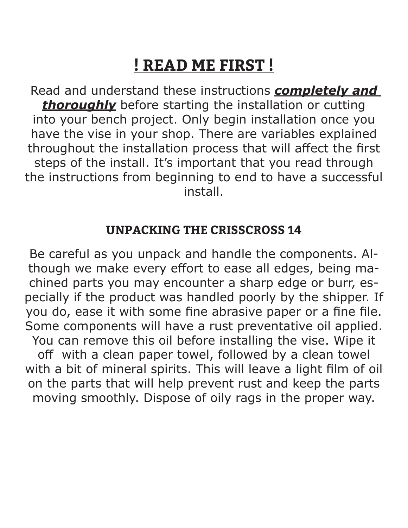# **! READ ME FIRST !**

Read and understand these instructions *completely and*  **thoroughly** before starting the installation or cutting into your bench project. Only begin installation once you have the vise in your shop. There are variables explained throughout the installation process that will affect the first steps of the install. It's important that you read through the instructions from beginning to end to have a successful install.

## **UNPACKING THE CRISSCROSS 14**

Be careful as you unpack and handle the components. Although we make every effort to ease all edges, being machined parts you may encounter a sharp edge or burr, especially if the product was handled poorly by the shipper. If you do, ease it with some fine abrasive paper or a fine file. Some components will have a rust preventative oil applied. You can remove this oil before installing the vise. Wipe it off with a clean paper towel, followed by a clean towel with a bit of mineral spirits. This will leave a light film of oil on the parts that will help prevent rust and keep the parts moving smoothly. Dispose of oily rags in the proper way.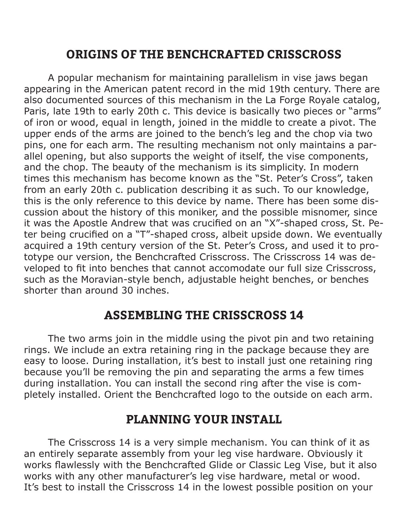## **ORIGINS OF THE BENCHCRAFTED CRISSCROSS**

A popular mechanism for maintaining parallelism in vise jaws began appearing in the American patent record in the mid 19th century. There are also documented sources of this mechanism in the La Forge Royale catalog, Paris, late 19th to early 20th c. This device is basically two pieces or "arms" of iron or wood, equal in length, joined in the middle to create a pivot. The upper ends of the arms are joined to the bench's leg and the chop via two pins, one for each arm. The resulting mechanism not only maintains a parallel opening, but also supports the weight of itself, the vise components, and the chop. The beauty of the mechanism is its simplicity. In modern times this mechanism has become known as the "St. Peter's Cross", taken from an early 20th c. publication describing it as such. To our knowledge, this is the only reference to this device by name. There has been some discussion about the history of this moniker, and the possible misnomer, since it was the Apostle Andrew that was crucified on an "X"-shaped cross, St. Peter being crucified on a "T"-shaped cross, albeit upside down. We eventually acquired a 19th century version of the St. Peter's Cross, and used it to prototype our version, the Benchcrafted Crisscross. The Crisscross 14 was developed to fit into benches that cannot accomodate our full size Crisscross, such as the Moravian-style bench, adjustable height benches, or benches shorter than around 30 inches.

#### **ASSEMBLING THE CRISSCROSS 14**

The two arms join in the middle using the pivot pin and two retaining rings. We include an extra retaining ring in the package because they are easy to loose. During installation, it's best to install just one retaining ring because you'll be removing the pin and separating the arms a few times during installation. You can install the second ring after the vise is completely installed. Orient the Benchcrafted logo to the outside on each arm.

#### **PLANNING YOUR INSTALL**

The Crisscross 14 is a very simple mechanism. You can think of it as an entirely separate assembly from your leg vise hardware. Obviously it works flawlessly with the Benchcrafted Glide or Classic Leg Vise, but it also works with any other manufacturer's leg vise hardware, metal or wood. It's best to install the Crisscross 14 in the lowest possible position on your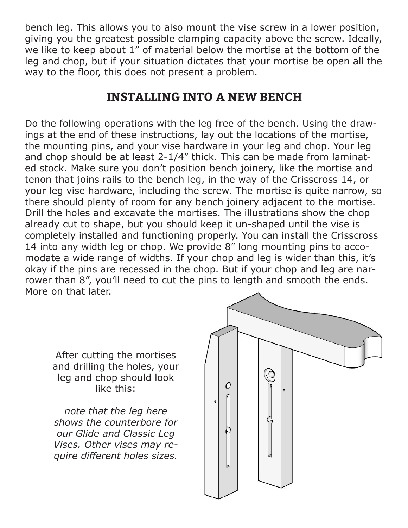bench leg. This allows you to also mount the vise screw in a lower position, giving you the greatest possible clamping capacity above the screw. Ideally, we like to keep about 1" of material below the mortise at the bottom of the leg and chop, but if your situation dictates that your mortise be open all the way to the floor, this does not present a problem.

## **INSTALLING INTO A NEW BENCH**

Do the following operations with the leg free of the bench. Using the drawings at the end of these instructions, lay out the locations of the mortise, the mounting pins, and your vise hardware in your leg and chop. Your leg and chop should be at least 2-1/4" thick. This can be made from laminated stock. Make sure you don't position bench joinery, like the mortise and tenon that joins rails to the bench leg, in the way of the Crisscross 14, or your leg vise hardware, including the screw. The mortise is quite narrow, so there should plenty of room for any bench joinery adjacent to the mortise. Drill the holes and excavate the mortises. The illustrations show the chop already cut to shape, but you should keep it un-shaped until the vise is completely installed and functioning properly. You can install the Crisscross 14 into any width leg or chop. We provide 8" long mounting pins to accomodate a wide range of widths. If your chop and leg is wider than this, it's okay if the pins are recessed in the chop. But if your chop and leg are narrower than 8", you'll need to cut the pins to length and smooth the ends. More on that later.

After cutting the mortises and drilling the holes, your leg and chop should look like this:

*note that the leg here shows the counterbore for our Glide and Classic Leg Vises. Other vises may require diϑerent holes sizes.* 

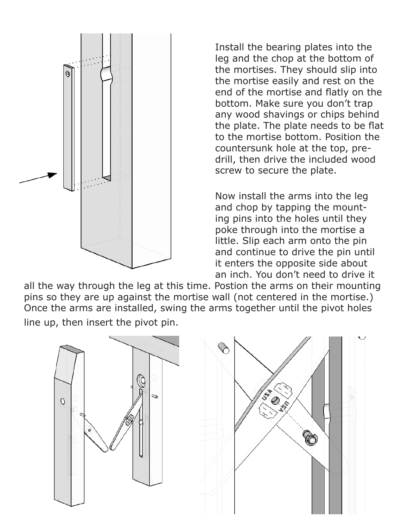

Install the bearing plates into the leg and the chop at the bottom of the mortises. They should slip into the mortise easily and rest on the end of the mortise and flatly on the bottom. Make sure you don't trap any wood shavings or chips behind the plate. The plate needs to be flat to the mortise bottom. Position the countersunk hole at the top, predrill, then drive the included wood screw to secure the plate.

Now install the arms into the leg and chop by tapping the mounting pins into the holes until they poke through into the mortise a little. Slip each arm onto the pin and continue to drive the pin until it enters the opposite side about an inch. You don't need to drive it

all the way through the leg at this time. Postion the arms on their mounting pins so they are up against the mortise wall (not centered in the mortise.) Once the arms are installed, swing the arms together until the pivot holes line up, then insert the pivot pin.

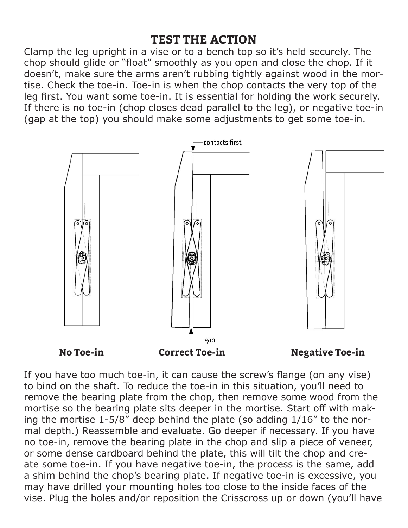#### **TEST THE ACTION**

Clamp the leg upright in a vise or to a bench top so it's held securely. The chop should glide or "float" smoothly as you open and close the chop. If it doesn't, make sure the arms aren't rubbing tightly against wood in the mortise. Check the toe-in. Toe-in is when the chop contacts the very top of the leg first. You want some toe-in. It is essential for holding the work securely. If there is no toe-in (chop closes dead parallel to the leg), or negative toe-in (gap at the top) you should make some adjustments to get some toe-in.



If you have too much toe-in, it can cause the screw's flange (on any vise) to bind on the shaft. To reduce the toe-in in this situation, you'll need to remove the bearing plate from the chop, then remove some wood from the mortise so the bearing plate sits deeper in the mortise. Start off with making the mortise 1-5/8" deep behind the plate (so adding 1/16" to the normal depth.) Reassemble and evaluate. Go deeper if necessary. If you have no toe-in, remove the bearing plate in the chop and slip a piece of veneer, or some dense cardboard behind the plate, this will tilt the chop and create some toe-in. If you have negative toe-in, the process is the same, add a shim behind the chop's bearing plate. If negative toe-in is excessive, you may have drilled your mounting holes too close to the inside faces of the vise. Plug the holes and/or reposition the Crisscross up or down (you'll have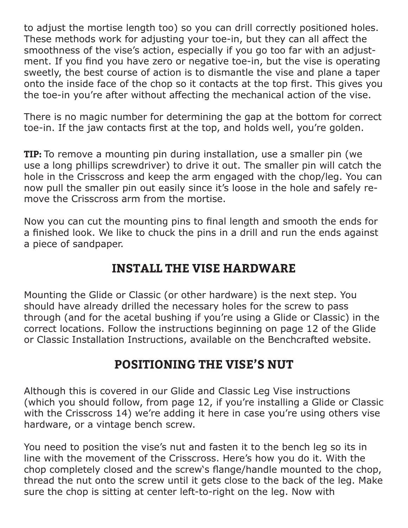to adjust the mortise length too) so you can drill correctly positioned holes. These methods work for adjusting your toe-in, but they can all affect the smoothness of the vise's action, especially if you go too far with an adjustment. If you find you have zero or negative toe-in, but the vise is operating sweetly, the best course of action is to dismantle the vise and plane a taper onto the inside face of the chop so it contacts at the top first. This gives you the toe-in you're after without affecting the mechanical action of the vise.

There is no magic number for determining the gap at the bottom for correct toe-in. If the jaw contacts first at the top, and holds well, you're golden.

**TIP:** To remove a mounting pin during installation, use a smaller pin (we use a long phillips screwdriver) to drive it out. The smaller pin will catch the hole in the Crisscross and keep the arm engaged with the chop/leg. You can now pull the smaller pin out easily since it's loose in the hole and safely remove the Crisscross arm from the mortise.

Now you can cut the mounting pins to final length and smooth the ends for a finished look. We like to chuck the pins in a drill and run the ends against a piece of sandpaper.

## **INSTALL THE VISE HARDWARE**

Mounting the Glide or Classic (or other hardware) is the next step. You should have already drilled the necessary holes for the screw to pass through (and for the acetal bushing if you're using a Glide or Classic) in the correct locations. Follow the instructions beginning on page 12 of the Glide or Classic Installation Instructions, available on the Benchcrafted website.

## **POSITIONING THE VISE'S NUT**

Although this is covered in our Glide and Classic Leg Vise instructions (which you should follow, from page 12, if you're installing a Glide or Classic with the Crisscross 14) we're adding it here in case you're using others vise hardware, or a vintage bench screw.

You need to position the vise's nut and fasten it to the bench leg so its in line with the movement of the Crisscross. Here's how you do it. With the chop completely closed and the screw's flange/handle mounted to the chop, thread the nut onto the screw until it gets close to the back of the leg. Make sure the chop is sitting at center left-to-right on the leg. Now with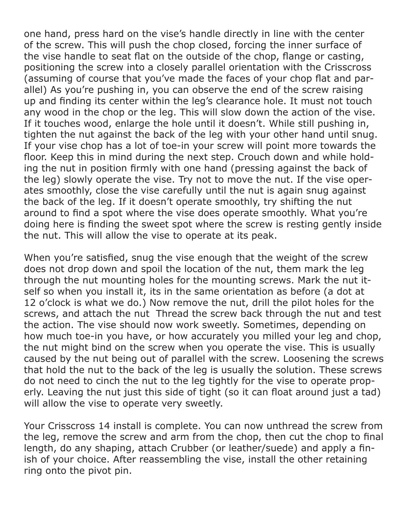one hand, press hard on the vise's handle directly in line with the center of the screw. This will push the chop closed, forcing the inner surface of the vise handle to seat flat on the outside of the chop, flange or casting, positioning the screw into a closely parallel orientation with the Crisscross (assuming of course that you've made the faces of your chop flat and parallel) As you're pushing in, you can observe the end of the screw raising up and finding its center within the leg's clearance hole. It must not touch any wood in the chop or the leg. This will slow down the action of the vise. If it touches wood, enlarge the hole until it doesn't. While still pushing in, tighten the nut against the back of the leg with your other hand until snug. If your vise chop has a lot of toe-in your screw will point more towards the floor. Keep this in mind during the next step. Crouch down and while holding the nut in position firmly with one hand (pressing against the back of the leg) slowly operate the vise. Try not to move the nut. If the vise operates smoothly, close the vise carefully until the nut is again snug against the back of the leg. If it doesn't operate smoothly, try shifting the nut around to find a spot where the vise does operate smoothly. What you're doing here is finding the sweet spot where the screw is resting gently inside the nut. This will allow the vise to operate at its peak.

When you're satisfied, snug the vise enough that the weight of the screw does not drop down and spoil the location of the nut, them mark the leg through the nut mounting holes for the mounting screws. Mark the nut itself so when you install it, its in the same orientation as before (a dot at 12 o'clock is what we do.) Now remove the nut, drill the pilot holes for the screws, and attach the nut Thread the screw back through the nut and test the action. The vise should now work sweetly. Sometimes, depending on how much toe-in you have, or how accurately you milled your leg and chop, the nut might bind on the screw when you operate the vise. This is usually caused by the nut being out of parallel with the screw. Loosening the screws that hold the nut to the back of the leg is usually the solution. These screws do not need to cinch the nut to the leg tightly for the vise to operate properly. Leaving the nut just this side of tight (so it can float around just a tad) will allow the vise to operate very sweetly.

Your Crisscross 14 install is complete. You can now unthread the screw from the leg, remove the screw and arm from the chop, then cut the chop to final length, do any shaping, attach Crubber (or leather/suede) and apply a finish of your choice. After reassembling the vise, install the other retaining ring onto the pivot pin.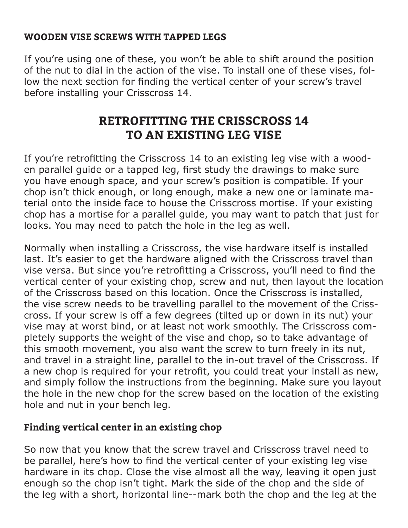#### **WOODEN VISE SCREWS WITH TAPPED LEGS**

If you're using one of these, you won't be able to shift around the position of the nut to dial in the action of the vise. To install one of these vises, follow the next section for finding the vertical center of your screw's travel before installing your Crisscross 14.

## **RETROFITTING THE CRISSCROSS 14 TO AN EXISTING LEG VISE**

If you're retrofitting the Crisscross 14 to an existing leg vise with a wooden parallel guide or a tapped leg, first study the drawings to make sure you have enough space, and your screw's position is compatible. If your chop isn't thick enough, or long enough, make a new one or laminate material onto the inside face to house the Crisscross mortise. If your existing chop has a mortise for a parallel guide, you may want to patch that just for looks. You may need to patch the hole in the leg as well.

Normally when installing a Crisscross, the vise hardware itself is installed last. It's easier to get the hardware aligned with the Crisscross travel than vise versa. But since you're retrofitting a Crisscross, you'll need to find the vertical center of your existing chop, screw and nut, then layout the location of the Crisscross based on this location. Once the Crisscross is installed, the vise screw needs to be travelling parallel to the movement of the Crisscross. If your screw is off a few degrees (tilted up or down in its nut) your vise may at worst bind, or at least not work smoothly. The Crisscross completely supports the weight of the vise and chop, so to take advantage of this smooth movement, you also want the screw to turn freely in its nut, and travel in a straight line, parallel to the in-out travel of the Crisscross. If a new chop is required for your retrofit, you could treat your install as new, and simply follow the instructions from the beginning. Make sure you layout the hole in the new chop for the screw based on the location of the existing hole and nut in your bench leg.

#### **Finding vertical center in an existing chop**

So now that you know that the screw travel and Crisscross travel need to be parallel, here's how to find the vertical center of your existing leg vise hardware in its chop. Close the vise almost all the way, leaving it open just enough so the chop isn't tight. Mark the side of the chop and the side of the leg with a short, horizontal line--mark both the chop and the leg at the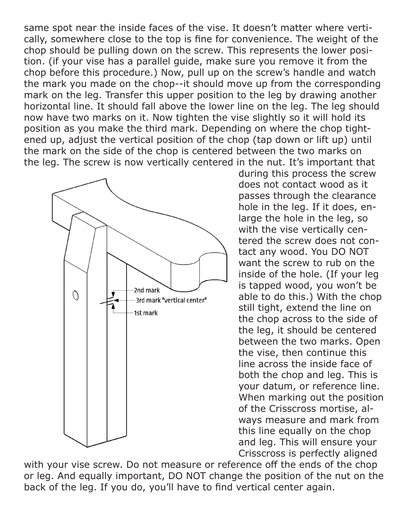same spot near the inside faces of the vise. It doesn't matter where vertically, somewhere close to the top is fine for convenience. The weight of the chop should be pulling down on the screw. This represents the lower position. (if your vise has a parallel guide, make sure you remove it from the chop before this procedure.) Now, pull up on the screw's handle and watch the mark you made on the chop--it should move up from the corresponding mark on the leg. Transfer this upper position to the leg by drawing another horizontal line. It should fall above the lower line on the leg. The leg should now have two marks on it. Now tighten the vise slightly so it will hold its position as you make the third mark. Depending on where the chop tightened up, adjust the vertical position of the chop (tap down or lift up) until the mark on the side of the chop is centered between the two marks on the leg. The screw is now vertically centered in the nut. It's important that



during this process the screw does not contact wood as it passes through the clearance hole in the leg. If it does, enlarge the hole in the leg, so with the vise vertically centered the screw does not contact any wood. You DO NOT want the screw to rub on the inside of the hole. (If your leg is tapped wood, you won't be able to do this.) With the chop still tight, extend the line on the chop across to the side of the leg, it should be centered between the two marks. Open the vise, then continue this line across the inside face of both the chop and leg. This is your datum, or reference line. When marking out the position of the Crisscross mortise, always measure and mark from this line equally on the chop and leg. This will ensure your Crisscross is perfectly aligned

with your vise screw. Do not measure or reference off the ends of the chop or leg. And equally important, DO NOT change the position of the nut on the back of the leg. If you do, you'll have to find vertical center again.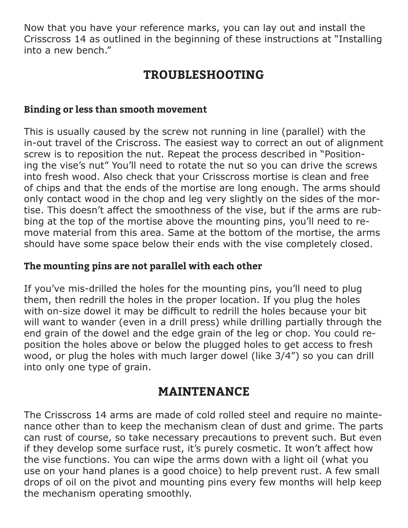Now that you have your reference marks, you can lay out and install the Crisscross 14 as outlined in the beginning of these instructions at "Installing into a new bench."

## **TROUBLESHOOTING**

#### **Binding or less than smooth movement**

This is usually caused by the screw not running in line (parallel) with the in-out travel of the Criscross. The easiest way to correct an out of alignment screw is to reposition the nut. Repeat the process described in "Positioning the vise's nut" You'll need to rotate the nut so you can drive the screws into fresh wood. Also check that your Crisscross mortise is clean and free of chips and that the ends of the mortise are long enough. The arms should only contact wood in the chop and leg very slightly on the sides of the mortise. This doesn't affect the smoothness of the vise, but if the arms are rubbing at the top of the mortise above the mounting pins, you'll need to remove material from this area. Same at the bottom of the mortise, the arms should have some space below their ends with the vise completely closed.

#### **The mounting pins are not parallel with each other**

If you've mis-drilled the holes for the mounting pins, you'll need to plug them, then redrill the holes in the proper location. If you plug the holes with on-size dowel it may be difficult to redrill the holes because your bit will want to wander (even in a drill press) while drilling partially through the end grain of the dowel and the edge grain of the leg or chop. You could reposition the holes above or below the plugged holes to get access to fresh wood, or plug the holes with much larger dowel (like 3/4") so you can drill into only one type of grain.

#### **MAINTENANCE**

The Crisscross 14 arms are made of cold rolled steel and require no maintenance other than to keep the mechanism clean of dust and grime. The parts can rust of course, so take necessary precautions to prevent such. But even if they develop some surface rust, it's purely cosmetic. It won't affect how the vise functions. You can wipe the arms down with a light oil (what you use on your hand planes is a good choice) to help prevent rust. A few small drops of oil on the pivot and mounting pins every few months will help keep the mechanism operating smoothly.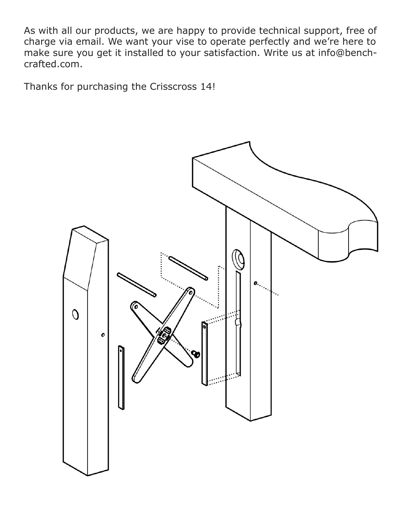As with all our products, we are happy to provide technical support, free of charge via email. We want your vise to operate perfectly and we're here to make sure you get it installed to your satisfaction. Write us at info@benchcrafted.com.

Thanks for purchasing the Crisscross 14!

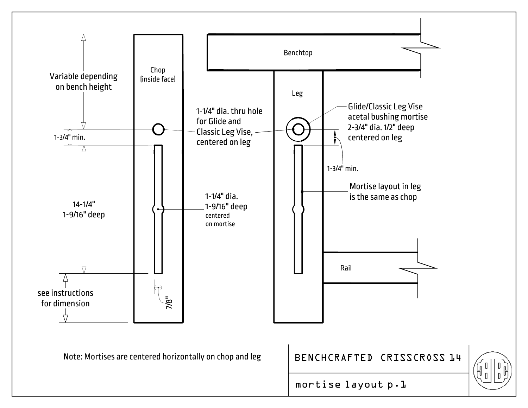